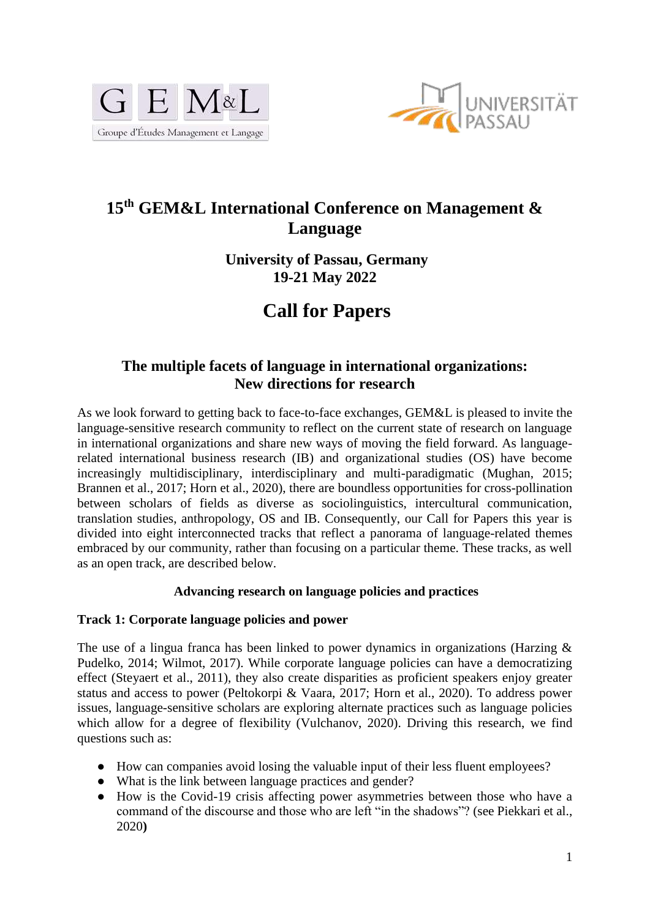



# **15th GEM&L International Conference on Management & Language**

**University of Passau, Germany 19-21 May 2022**

# **Call for Papers**

## **The multiple facets of language in international organizations: New directions for research**

As we look forward to getting back to face-to-face exchanges, GEM&L is pleased to invite the language-sensitive research community to reflect on the current state of research on language in international organizations and share new ways of moving the field forward. As languagerelated international business research (IB) and organizational studies (OS) have become increasingly multidisciplinary, interdisciplinary and multi-paradigmatic (Mughan, 2015; Brannen et al., 2017; Horn et al., 2020), there are boundless opportunities for cross-pollination between scholars of fields as diverse as sociolinguistics, intercultural communication, translation studies, anthropology, OS and IB. Consequently, our Call for Papers this year is divided into eight interconnected tracks that reflect a panorama of language-related themes embraced by our community, rather than focusing on a particular theme. These tracks, as well as an open track, are described below.

#### **Advancing research on language policies and practices**

#### **Track 1: Corporate language policies and power**

The use of a lingua franca has been linked to power dynamics in organizations (Harzing & Pudelko, 2014; Wilmot, 2017). While corporate language policies can have a democratizing effect (Steyaert et al., 2011), they also create disparities as proficient speakers enjoy greater status and access to power (Peltokorpi & Vaara, 2017; Horn et al., 2020). To address power issues, language-sensitive scholars are exploring alternate practices such as language policies which allow for a degree of flexibility (Vulchanov, 2020). Driving this research, we find questions such as:

- How can companies avoid losing the valuable input of their less fluent employees?
- What is the link between language practices and gender?
- How is the Covid-19 crisis affecting power asymmetries between those who have a command of the discourse and those who are left "in the shadows"? (see Piekkari et al., 2020**)**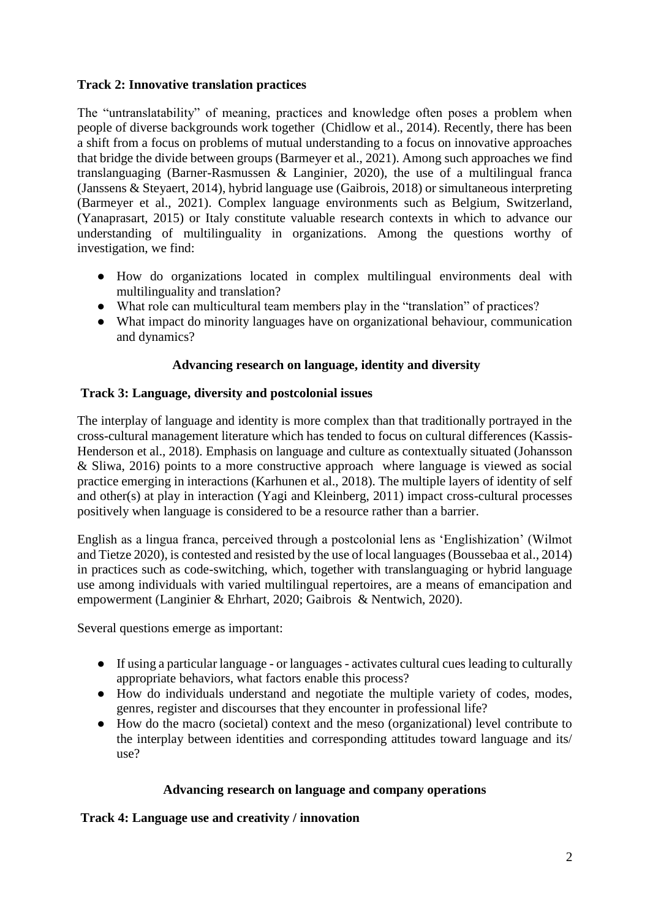## **Track 2: Innovative translation practices**

The "untranslatability" of meaning, practices and knowledge often poses a problem when people of diverse backgrounds work together (Chidlow et al., 2014). Recently, there has been a shift from a focus on problems of mutual understanding to a focus on innovative approaches that bridge the divide between groups (Barmeyer et al., 2021). Among such approaches we find translanguaging (Barner-Rasmussen & Langinier, 2020), the use of a multilingual franca (Janssens & Steyaert, 2014), hybrid language use (Gaibrois, 2018) or simultaneous interpreting (Barmeyer et al., 2021). Complex language environments such as Belgium, Switzerland, (Yanaprasart, 2015) or Italy constitute valuable research contexts in which to advance our understanding of multilinguality in organizations. Among the questions worthy of investigation, we find:

- How do organizations located in complex multilingual environments deal with multilinguality and translation?
- What role can multicultural team members play in the "translation" of practices?
- What impact do minority languages have on organizational behaviour, communication and dynamics?

## **Advancing research on language, identity and diversity**

## **Track 3: Language, diversity and postcolonial issues**

The interplay of language and identity is more complex than that traditionally portrayed in the cross-cultural management literature which has tended to focus on cultural differences (Kassis-Henderson et al., 2018). Emphasis on language and culture as contextually situated (Johansson & Sliwa, 2016) points to a more constructive approach where language is viewed as social practice emerging in interactions (Karhunen et al., 2018). The multiple layers of identity of self and other(s) at play in interaction (Yagi and Kleinberg, 2011) impact cross-cultural processes positively when language is considered to be a resource rather than a barrier.

English as a lingua franca, perceived through a postcolonial lens as 'Englishization' (Wilmot and Tietze 2020), is contested and resisted by the use of local languages (Boussebaa et al., 2014) in practices such as code-switching, which, together with translanguaging or hybrid language use among individuals with varied multilingual repertoires, are a means of emancipation and empowerment (Langinier & Ehrhart, 2020; Gaibrois & Nentwich, 2020).

Several questions emerge as important:

- If using a particular language or languages activates cultural cues leading to culturally appropriate behaviors, what factors enable this process?
- How do individuals understand and negotiate the multiple variety of codes, modes, genres, register and discourses that they encounter in professional life?
- How do the macro (societal) context and the meso (organizational) level contribute to the interplay between identities and corresponding attitudes toward language and its/ use?

## **Advancing research on language and company operations**

## **Track 4: Language use and creativity / innovation**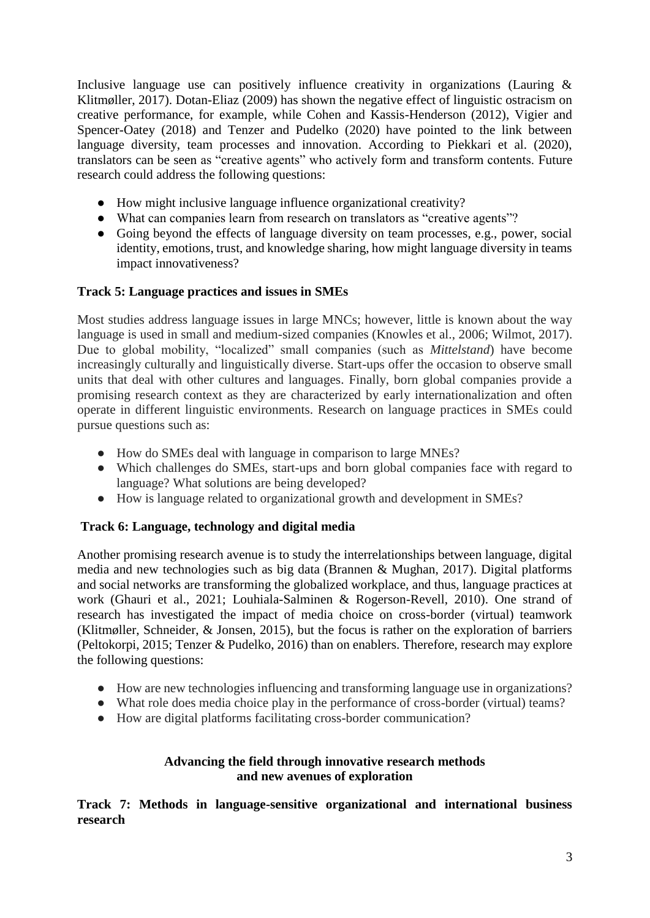Inclusive language use can positively influence creativity in organizations (Lauring  $\&$ Klitmøller, 2017). Dotan-Eliaz (2009) has shown the negative effect of linguistic ostracism on creative performance, for example, while Cohen and Kassis-Henderson (2012), Vigier and Spencer-Oatey (2018) and Tenzer and Pudelko (2020) have pointed to the link between language diversity, team processes and innovation. According to Piekkari et al. (2020), translators can be seen as "creative agents" who actively form and transform contents. Future research could address the following questions:

- How might inclusive language influence organizational creativity?
- What can companies learn from research on translators as "creative agents"?
- Going beyond the effects of language diversity on team processes, e.g., power, social identity, emotions, trust, and knowledge sharing, how might language diversity in teams impact innovativeness?

## **Track 5: Language practices and issues in SMEs**

Most studies address language issues in large MNCs; however, little is known about the way language is used in small and medium-sized companies (Knowles et al., 2006; Wilmot, 2017). Due to global mobility, "localized" small companies (such as *Mittelstand*) have become increasingly culturally and linguistically diverse. Start-ups offer the occasion to observe small units that deal with other cultures and languages. Finally, born global companies provide a promising research context as they are characterized by early internationalization and often operate in different linguistic environments. Research on language practices in SMEs could pursue questions such as:

- How do SMEs deal with language in comparison to large MNEs?
- Which challenges do SMEs, start-ups and born global companies face with regard to language? What solutions are being developed?
- How is language related to organizational growth and development in SMEs?

## **Track 6: Language, technology and digital media**

Another promising research avenue is to study the interrelationships between language, digital media and new technologies such as big data (Brannen & Mughan, 2017). Digital platforms and social networks are transforming the globalized workplace, and thus, language practices at work (Ghauri et al., 2021; Louhiala-Salminen & Rogerson-Revell, 2010). One strand of research has investigated the impact of media choice on cross-border (virtual) teamwork (Klitmøller, Schneider, & Jonsen, 2015), but the focus is rather on the exploration of barriers (Peltokorpi, 2015; Tenzer & Pudelko, 2016) than on enablers. Therefore, research may explore the following questions:

- How are new technologies influencing and transforming language use in organizations?
- What role does media choice play in the performance of cross-border (virtual) teams?
- How are digital platforms facilitating cross-border communication?

#### **Advancing the field through innovative research methods and new avenues of exploration**

**Track 7: Methods in language-sensitive organizational and international business research**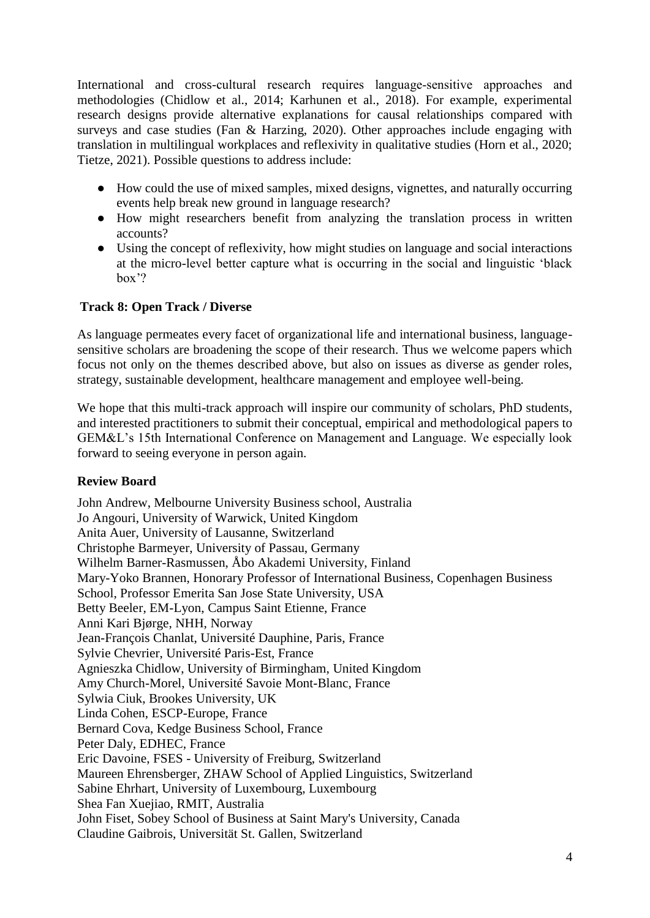International and cross-cultural research requires language-sensitive approaches and methodologies (Chidlow et al., 2014; Karhunen et al., 2018). For example, experimental research designs provide alternative explanations for causal relationships compared with surveys and case studies (Fan & Harzing, 2020). Other approaches include engaging with translation in multilingual workplaces and reflexivity in qualitative studies (Horn et al., 2020; Tietze, 2021). Possible questions to address include:

- How could the use of mixed samples, mixed designs, vignettes, and naturally occurring events help break new ground in language research?
- How might researchers benefit from analyzing the translation process in written accounts?
- Using the concept of reflexivity, how might studies on language and social interactions at the micro-level better capture what is occurring in the social and linguistic 'black box'?

#### **Track 8: Open Track / Diverse**

As language permeates every facet of organizational life and international business, languagesensitive scholars are broadening the scope of their research. Thus we welcome papers which focus not only on the themes described above, but also on issues as diverse as gender roles, strategy, sustainable development, healthcare management and employee well-being.

We hope that this multi-track approach will inspire our community of scholars, PhD students, and interested practitioners to submit their conceptual, empirical and methodological papers to GEM&L's 15th International Conference on Management and Language. We especially look forward to seeing everyone in person again.

#### **Review Board**

John Andrew, Melbourne University Business school, Australia Jo Angouri, University of Warwick, United Kingdom Anita Auer, University of Lausanne, Switzerland Christophe Barmeyer, University of Passau, Germany Wilhelm Barner-Rasmussen, Åbo Akademi University, Finland Mary-Yoko Brannen, Honorary Professor of International Business, Copenhagen Business School, Professor Emerita San Jose State University, USA Betty Beeler, EM-Lyon, Campus Saint Etienne, France Anni Kari Bjørge, NHH, Norway Jean-François Chanlat, Université Dauphine, Paris, France Sylvie Chevrier, Université Paris-Est, France Agnieszka Chidlow, University of Birmingham, United Kingdom Amy Church-Morel, Université Savoie Mont-Blanc, France Sylwia Ciuk, Brookes University, UK Linda Cohen, ESCP-Europe, France Bernard Cova, Kedge Business School, France Peter Daly, EDHEC, France Eric Davoine, FSES - University of Freiburg, Switzerland Maureen Ehrensberger, ZHAW School of Applied Linguistics, Switzerland Sabine Ehrhart, University of Luxembourg, Luxembourg Shea Fan Xuejiao, RMIT, Australia John Fiset, Sobey School of Business at Saint Mary's University, Canada Claudine Gaibrois, Universität St. Gallen, Switzerland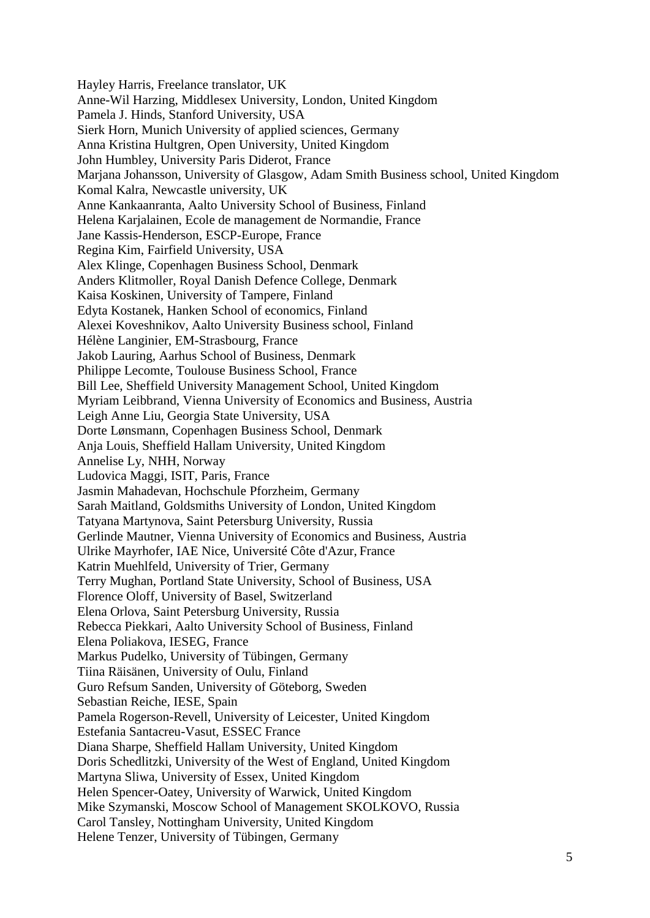Hayley Harris, Freelance translator, UK Anne-Wil Harzing, Middlesex University, London, United Kingdom Pamela J. Hinds, Stanford University, USA Sierk Horn, Munich University of applied sciences, Germany Anna Kristina Hultgren, Open University, United Kingdom John Humbley, University Paris Diderot, France Marjana Johansson, University of Glasgow, Adam Smith Business school, United Kingdom Komal Kalra, Newcastle university, UK Anne Kankaanranta, Aalto University School of Business, Finland Helena Karjalainen, Ecole de management de Normandie, France Jane Kassis-Henderson, ESCP-Europe, France Regina Kim, Fairfield University, USA Alex Klinge, Copenhagen Business School, Denmark Anders Klitmoller, Royal Danish Defence College, Denmark Kaisa Koskinen, University of Tampere, Finland Edyta Kostanek, Hanken School of economics, Finland Alexei Koveshnikov, Aalto University Business school, Finland Hélène Langinier, EM-Strasbourg, France Jakob Lauring, Aarhus School of Business, Denmark Philippe Lecomte, Toulouse Business School, France Bill Lee, Sheffield University Management School, United Kingdom Myriam Leibbrand, Vienna University of Economics and Business, Austria Leigh Anne Liu, Georgia State University, USA Dorte Lønsmann, Copenhagen Business School, Denmark Anja Louis, Sheffield Hallam University, United Kingdom Annelise Ly, NHH, Norway Ludovica Maggi, ISIT, Paris, France Jasmin Mahadevan, Hochschule Pforzheim, Germany Sarah Maitland, Goldsmiths University of London, United Kingdom Tatyana Martynova, Saint Petersburg University, Russia Gerlinde Mautner, Vienna University of Economics and Business, Austria Ulrike Mayrhofer, IAE Nice, Université Côte d'Azur, France Katrin Muehlfeld, University of Trier, Germany Terry Mughan, Portland State University, School of Business, USA Florence Oloff, University of Basel, Switzerland Elena Orlova, Saint Petersburg University, Russia Rebecca Piekkari, Aalto University School of Business, Finland Elena Poliakova, IESEG, France Markus Pudelko, University of Tübingen, Germany Tiina Räisänen, University of Oulu, Finland Guro Refsum Sanden, University of Göteborg, Sweden Sebastian Reiche, IESE, Spain Pamela Rogerson-Revell, University of Leicester, United Kingdom Estefania Santacreu-Vasut, ESSEC France Diana Sharpe, Sheffield Hallam University, United Kingdom Doris Schedlitzki, University of the West of England, United Kingdom Martyna Sliwa, University of Essex, United Kingdom Helen Spencer-Oatey, University of Warwick, United Kingdom Mike Szymanski, Moscow School of Management SKOLKOVO, Russia Carol Tansley, Nottingham University, United Kingdom Helene Tenzer, University of Tübingen, Germany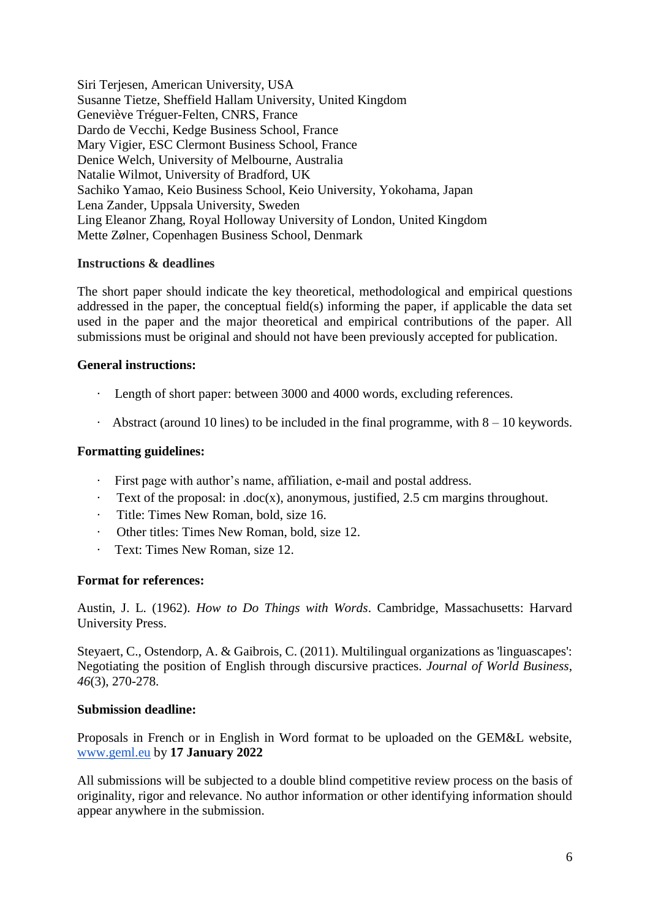Siri Terjesen, American University, USA Susanne Tietze, Sheffield Hallam University, United Kingdom Geneviève Tréguer-Felten, CNRS, France Dardo de Vecchi, Kedge Business School, France Mary Vigier, ESC Clermont Business School, France Denice Welch, University of Melbourne, Australia Natalie Wilmot, University of Bradford, UK Sachiko Yamao, Keio Business School, Keio University, Yokohama, Japan Lena Zander, Uppsala University, Sweden Ling Eleanor Zhang, Royal Holloway University of London, United Kingdom Mette Zølner, Copenhagen Business School, Denmark

#### **Instructions & deadlines**

The short paper should indicate the key theoretical, methodological and empirical questions addressed in the paper, the conceptual field(s) informing the paper, if applicable the data set used in the paper and the major theoretical and empirical contributions of the paper. All submissions must be original and should not have been previously accepted for publication.

#### **General instructions:**

- · Length of short paper: between 3000 and 4000 words, excluding references.
- Abstract (around 10 lines) to be included in the final programme, with  $8 10$  keywords.

#### **Formatting guidelines:**

- · First page with author's name, affiliation, e-mail and postal address.
- $\cdot$  Text of the proposal: in .doc(x), anonymous, justified, 2.5 cm margins throughout.
- · Title: Times New Roman, bold, size 16.
- · Other titles: Times New Roman, bold, size 12.
- · Text: Times New Roman, size 12.

#### **Format for references:**

Austin, J. L. (1962). *How to Do Things with Words*. Cambridge, Massachusetts: Harvard University Press.

Steyaert, C., Ostendorp, A. & Gaibrois, C. (2011). Multilingual organizations as 'linguascapes': Negotiating the position of English through discursive practices. *Journal of World Business*, *46*(3), 270-278.

#### **Submission deadline:**

Proposals in French or in English in Word format to be uploaded on the GEM&L website[,](http://www.geml.eu/) [www.geml.eu](http://www.geml.eu/) by **17 January 2022**

All submissions will be subjected to a double blind competitive review process on the basis of originality, rigor and relevance. No author information or other identifying information should appear anywhere in the submission.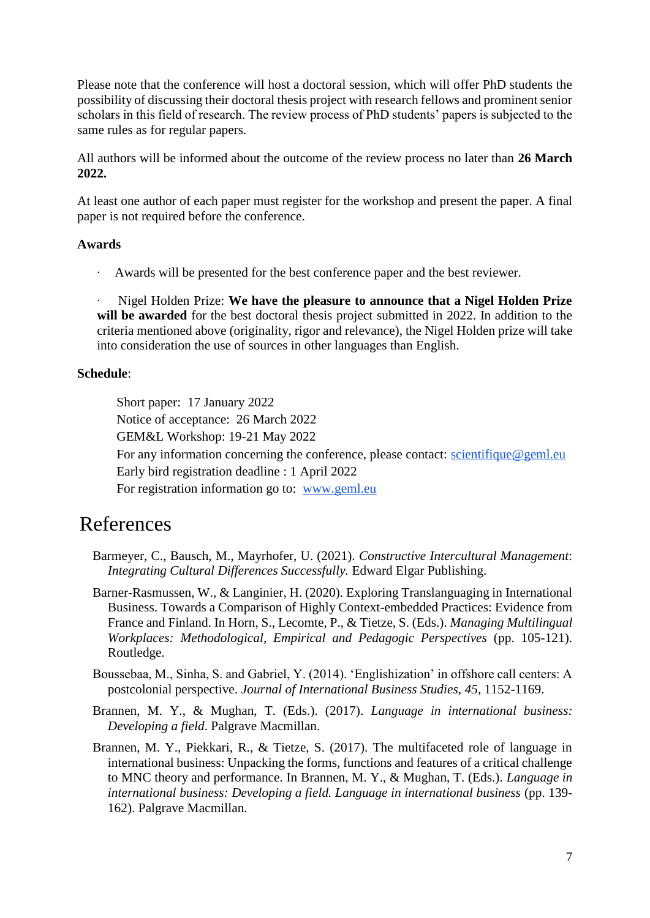Please note that the conference will host a doctoral session, which will offer PhD students the possibility of discussing their doctoral thesis project with research fellows and prominent senior scholars in this field of research. The review process of PhD students' papers is subjected to the same rules as for regular papers.

All authors will be informed about the outcome of the review process no later than **26 March 2022.**

At least one author of each paper must register for the workshop and present the paper. A final paper is not required before the conference.

#### **Awards**

· Awards will be presented for the best conference paper and the best reviewer.

· Nigel Holden Prize: **We have the pleasure to announce that a Nigel Holden Prize will be awarded** for the best doctoral thesis project submitted in 2022. In addition to the criteria mentioned above (originality, rigor and relevance), the Nigel Holden prize will take into consideration the use of sources in other languages than English.

#### **Schedule**:

Short paper: 17 January 2022 Notice of acceptance: 26 March 2022 GEM&L Workshop: 19-21 May 2022 For any information concerning the conference, please contact: [scientifique@geml.eu](mailto:scientifique@geml.eu) Early bird registration deadline : 1 April 2022 For registration information go to: [www.geml.eu](http://www.geml.eu/)

## References

- Barmeyer, C., Bausch, M., Mayrhofer, U. (2021). *Constructive Intercultural Management*: *Integrating Cultural Differences Successfully.* Edward Elgar Publishing.
- Barner-Rasmussen, W., & Langinier, H. (2020). Exploring Translanguaging in International Business. Towards a Comparison of Highly Context-embedded Practices: Evidence from France and Finland. In Horn, S., Lecomte, P., & Tietze, S. (Eds.). *Managing Multilingual Workplaces: Methodological, Empirical and Pedagogic Perspectives* (pp. 105-121). Routledge.
- Boussebaa, M., Sinha, S. and Gabriel, Y. (2014). 'Englishization' in offshore call centers: A postcolonial perspective. *Journal of International Business Studies, 45,* 1152-1169.
- Brannen, M. Y., & Mughan, T. (Eds.). (2017). *Language in international business: Developing a field*. Palgrave Macmillan.
- Brannen, M. Y., Piekkari, R., & Tietze, S. (2017). The multifaceted role of language in international business: Unpacking the forms, functions and features of a critical challenge to MNC theory and performance. In Brannen, M. Y., & Mughan, T. (Eds.). *Language in international business: Developing a field. Language in international business* (pp. 139- 162). Palgrave Macmillan.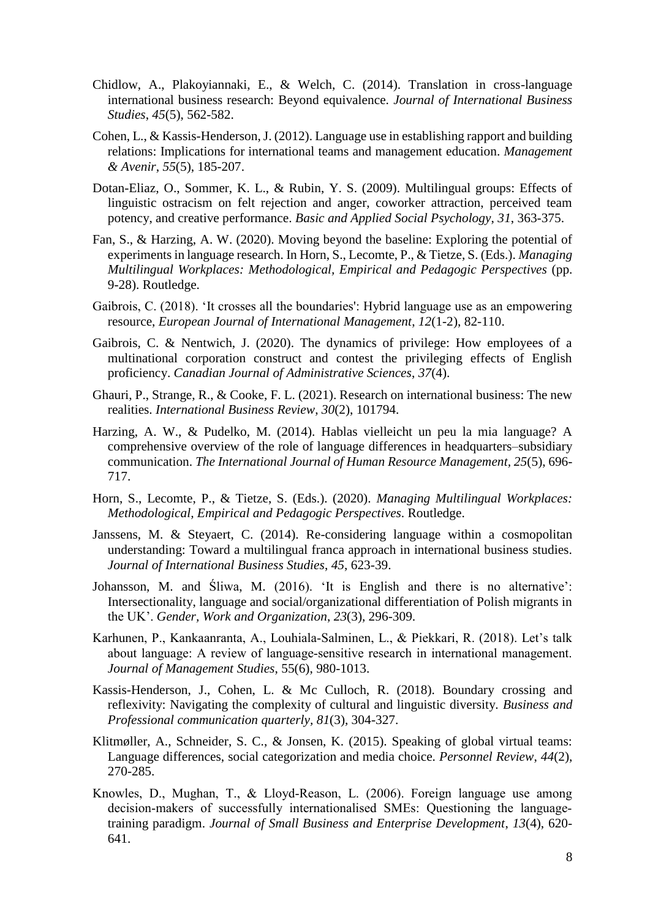- Chidlow, A., Plakoyiannaki, E., & Welch, C. (2014). Translation in cross-language international business research: Beyond equivalence. *Journal of International Business Studies*, *45*(5), 562-582.
- Cohen, L., & Kassis-Henderson, J. (2012). Language use in establishing rapport and building relations: Implications for international teams and management education. *Management & Avenir*, *55*(5), 185-207.
- Dotan-Eliaz, O., Sommer, K. L., & Rubin, Y. S. (2009). Multilingual groups: Effects of linguistic ostracism on felt rejection and anger, coworker attraction, perceived team potency, and creative performance. *Basic and Applied Social Psychology*, *31*, 363-375.
- Fan, S., & Harzing, A. W. (2020). Moving beyond the baseline: Exploring the potential of experiments in language research. In Horn, S., Lecomte, P., & Tietze, S. (Eds.). *Managing Multilingual Workplaces: Methodological, Empirical and Pedagogic Perspectives* (pp. 9-28). Routledge.
- Gaibrois, C. (2018). 'It crosses all the boundaries': Hybrid language use as an empowering resource, *European Journal of International Management*, *12*(1-2), 82-110.
- Gaibrois, C. & Nentwich, J. (2020). The dynamics of privilege: How employees of a multinational corporation construct and contest the privileging effects of English proficiency. *Canadian Journal of Administrative Sciences*, *37*(4).
- Ghauri, P., Strange, R., & Cooke, F. L. (2021). Research on international business: The new realities. *International Business Review*, *30*(2), 101794.
- Harzing, A. W., & Pudelko, M. (2014). Hablas vielleicht un peu la mia language? A comprehensive overview of the role of language differences in headquarters–subsidiary communication. *The International Journal of Human Resource Management, 25*(5), 696- 717.
- Horn, S., Lecomte, P., & Tietze, S. (Eds.). (2020). *Managing Multilingual Workplaces: Methodological, Empirical and Pedagogic Perspectives*. Routledge.
- Janssens, M. & Steyaert, C. (2014). Re-considering language within a cosmopolitan understanding: Toward a multilingual franca approach in international business studies. *Journal of International Business Studies*, *45*, 623-39.
- Johansson, M. and Śliwa, M. (2016). 'It is English and there is no alternative': Intersectionality, language and social/organizational differentiation of Polish migrants in the UK'. *Gender, Work and Organization*, *23*(3), 296-309.
- Karhunen, P., Kankaanranta, A., Louhiala‐Salminen, L., & Piekkari, R. (2018). Let's talk about language: A review of language‐sensitive research in international management. *Journal of Management Studies*, 55(6), 980-1013.
- Kassis-Henderson, J., Cohen, L. & Mc Culloch, R. (2018). Boundary crossing and reflexivity: Navigating the complexity of cultural and linguistic diversity. *Business and Professional communication quarterly, 81*(3), 304-327.
- Klitmøller, A., Schneider, S. C., & Jonsen, K. (2015). Speaking of global virtual teams: Language differences, social categorization and media choice. *Personnel Review*, *44*(2), 270-285.
- Knowles, D., Mughan, T., & Lloyd‐Reason, L. (2006). Foreign language use among decision-makers of successfully internationalised SMEs: Questioning the languagetraining paradigm. *Journal of Small Business and Enterprise Development*, *13*(4), 620- 641.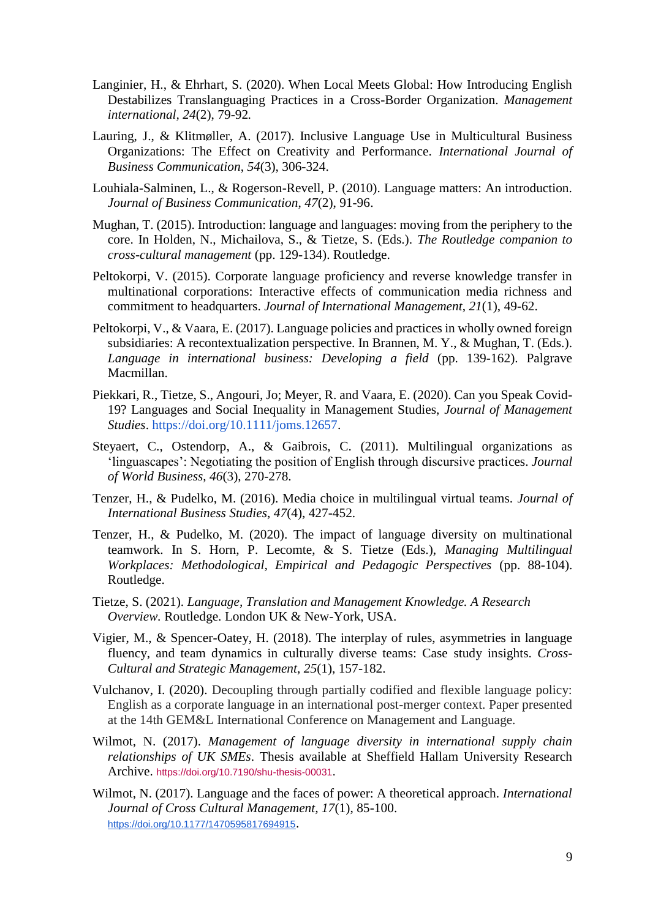- Langinier, H., & Ehrhart, S. (2020). When Local Meets Global: How Introducing English Destabilizes Translanguaging Practices in a Cross-Border Organization. *Management international, 24*(2), 79-92*.*
- Lauring, J., & Klitmøller, A. (2017). Inclusive Language Use in Multicultural Business Organizations: The Effect on Creativity and Performance. *International Journal of Business Communication*, *54*(3), 306-324.
- Louhiala-Salminen, L., & Rogerson-Revell, P. (2010). Language matters: An introduction. *Journal of Business Communication*, *47*(2), 91-96.
- Mughan, T. (2015). Introduction: language and languages: moving from the periphery to the core. In Holden, N., Michailova, S., & Tietze, S. (Eds.). *The Routledge companion to cross-cultural management* (pp. 129-134). Routledge.
- Peltokorpi, V. (2015). Corporate language proficiency and reverse knowledge transfer in multinational corporations: Interactive effects of communication media richness and commitment to headquarters. *Journal of International Management*, *21*(1), 49-62.
- Peltokorpi, V., & Vaara, E. (2017). Language policies and practices in wholly owned foreign subsidiaries: A recontextualization perspective. In Brannen, M. Y., & Mughan, T. (Eds.). *Language in international business: Developing a field* (pp. 139-162). Palgrave Macmillan.
- Piekkari, R., Tietze, S., Angouri, Jo; Meyer, R. and Vaara, E. (2020). Can you Speak Covid-19? Languages and Social Inequality in Management Studies, *Journal of Management Studies*. [https://doi.org/10.1111/joms.12657.](https://doi.org/10.1111/joms.12657)
- Steyaert, C., Ostendorp, A., & Gaibrois, C. (2011). Multilingual organizations as 'linguascapes': Negotiating the position of English through discursive practices. *Journal of World Business*, *46*(3), 270-278.
- Tenzer, H., & Pudelko, M. (2016). Media choice in multilingual virtual teams. *Journal of International Business Studies*, *47*(4), 427-452.
- Tenzer, H., & Pudelko, M. (2020). The impact of language diversity on multinational teamwork. In S. Horn, P. Lecomte, & S. Tietze (Eds.), *Managing Multilingual Workplaces: Methodological, Empirical and Pedagogic Perspectives* (pp. 88-104). Routledge.
- Tietze, S. (2021). *Language, Translation and Management Knowledge. A Research Overview.* Routledge. London UK & New-York, USA.
- Vigier, M., & Spencer-Oatey, H. (2018). The interplay of rules, asymmetries in language fluency, and team dynamics in culturally diverse teams: Case study insights. *Cross-Cultural and Strategic Management*, *25*(1), 157-182.
- Vulchanov, I. (2020). Decoupling through partially codified and flexible language policy: English as a corporate language in an international post-merger context. Paper presented at the 14th GEM&L International Conference on Management and Language.
- Wilmot, N. (2017). *Management of language diversity in international supply chain relationships of UK SMEs*. Thesis available at Sheffield Hallam University Research Archive. <https://doi.org/10.7190/shu-thesis-00031>.
- Wilmot, N. (2017). Language and the faces of power: A theoretical approach. *International Journal of Cross Cultural Management, 17*(1), 85-100. <https://doi.org/10.1177/1470595817694915>.